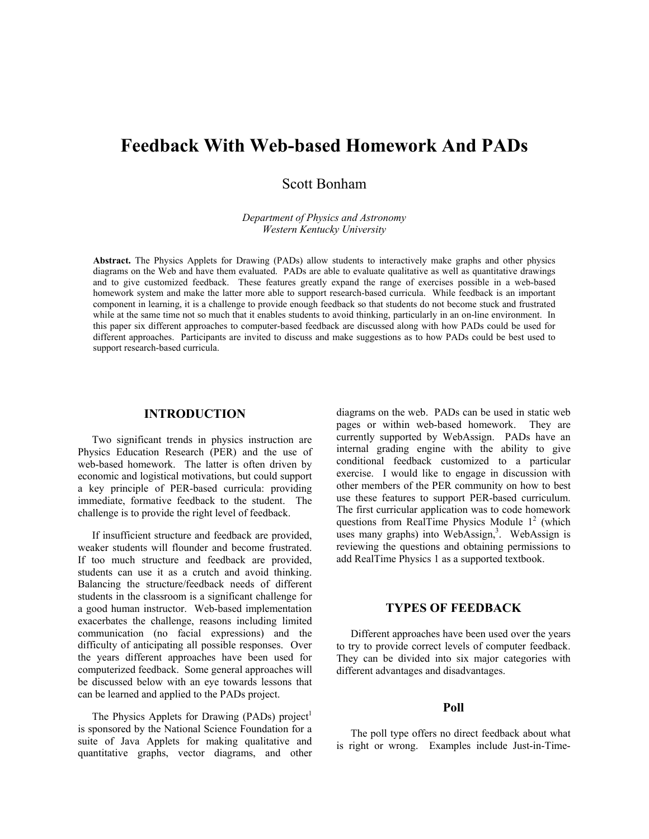# **Feedback With Web-based Homework And PADs**

# Scott Bonham

*Department of Physics and Astronomy Western Kentucky University*

**Abstract.** The Physics Applets for Drawing (PADs) allow students to interactively make graphs and other physics diagrams on the Web and have them evaluated. PADs are able to evaluate qualitative as well as quantitative drawings and to give customized feedback. These features greatly expand the range of exercises possible in a web-based homework system and make the latter more able to support research-based curricula. While feedback is an important component in learning, it is a challenge to provide enough feedback so that students do not become stuck and frustrated while at the same time not so much that it enables students to avoid thinking, particularly in an on-line environment. In this paper six different approaches to computer-based feedback are discussed along with how PADs could be used for different approaches. Participants are invited to discuss and make suggestions as to how PADs could be best used to support research-based curricula.

# **INTRODUCTION**

Two significant trends in physics instruction are Physics Education Research (PER) and the use of web-based homework. The latter is often driven by economic and logistical motivations, but could support a key principle of PER-based curricula: providing immediate, formative feedback to the student. The challenge is to provide the right level of feedback.

If insufficient structure and feedback are provided, weaker students will flounder and become frustrated. If too much structure and feedback are provided, students can use it as a crutch and avoid thinking. Balancing the structure/feedback needs of different students in the classroom is a significant challenge for a good human instructor. Web-based implementation exacerbates the challenge, reasons including limited communication (no facial expressions) and the difficulty of anticipating all possible responses. Over the years different approaches have been used for computerized feedback. Some general approaches will be discussed below with an eye towards lessons that can be learned and applied to the PADs project.

The Physics Applets for Drawing (PADs) project<sup>1</sup> is sponsored by the National Science Foundation for a suite of Java Applets for making qualitative and quantitative graphs, vector diagrams, and other diagrams on the web. PADs can be used in static web pages or within web-based homework. They are currently supported by WebAssign. PADs have an internal grading engine with the ability to give conditional feedback customized to a particular exercise. I would like to engage in discussion with other members of the PER community on how to best use these features to support PER-based curriculum. The first curricular application was to code homework questions from RealTime Physics Module  $1^2$  (which uses many graphs) into WebAssign,<sup>3</sup>. WebAssign is reviewing the questions and obtaining permissions to add RealTime Physics 1 as a supported textbook.

# **TYPES OF FEEDBACK**

Different approaches have been used over the years to try to provide correct levels of computer feedback. They can be divided into six major categories with different advantages and disadvantages.

#### **Poll**

The poll type offers no direct feedback about what is right or wrong. Examples include Just-in-Time-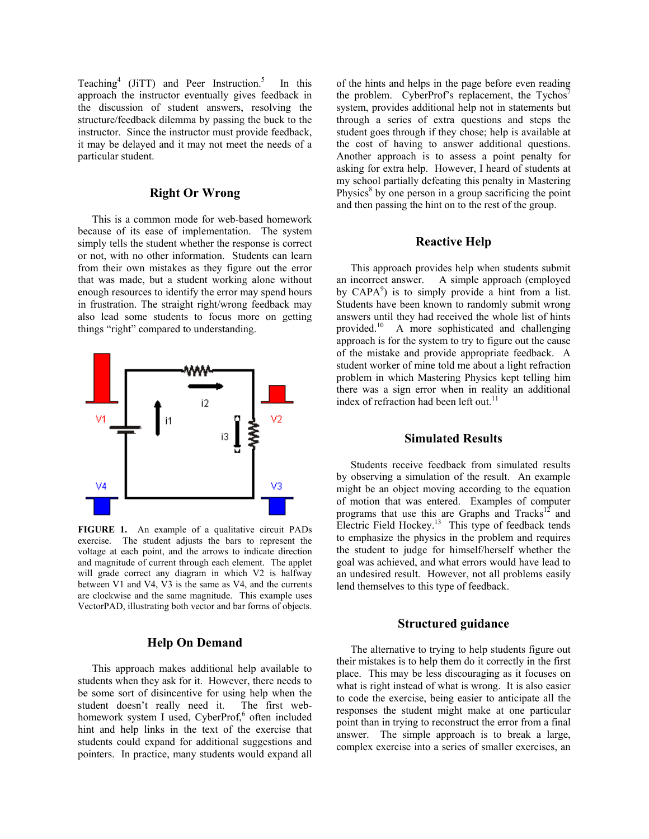Teaching<sup>4</sup> (JiTT) and Peer Instruction.<sup>5</sup> In this approach the instructor eventually gives feedback in the discussion of student answers, resolving the structure/feedback dilemma by passing the buck to the instructor. Since the instructor must provide feedback, it may be delayed and it may not meet the needs of a particular student.

# **Right Or Wrong**

This is a common mode for web-based homework because of its ease of implementation. The system simply tells the student whether the response is correct or not, with no other information. Students can learn from their own mistakes as they figure out the error that was made, but a student working alone without enough resources to identify the error may spend hours in frustration. The straight right/wrong feedback may also lead some students to focus more on getting things "right" compared to understanding.



**FIGURE 1.** An example of a qualitative circuit PADs exercise. The student adjusts the bars to represent the voltage at each point, and the arrows to indicate direction and magnitude of current through each element. The applet will grade correct any diagram in which V2 is halfway between V1 and V4, V3 is the same as V4, and the currents are clockwise and the same magnitude. This example uses VectorPAD, illustrating both vector and bar forms of objects.

# **Help On Demand**

This approach makes additional help available to students when they ask for it. However, there needs to be some sort of disincentive for using help when the student doesn't really need it. The first webhomework system I used, CyberProf,<sup>6</sup> often included hint and help links in the text of the exercise that students could expand for additional suggestions and pointers. In practice, many students would expand all

of the hints and helps in the page before even reading the problem. CyberProf's replacement, the  $Tychos<sup>7</sup>$ system, provides additional help not in statements but through a series of extra questions and steps the student goes through if they chose; help is available at the cost of having to answer additional questions. Another approach is to assess a point penalty for asking for extra help. However, I heard of students at my school partially defeating this penalty in Mastering Physics<sup>8</sup> by one person in a group sacrificing the point and then passing the hint on to the rest of the group.

# **Reactive Help**

This approach provides help when students submit an incorrect answer. A simple approach (employed by  $CAPA<sup>9</sup>$ ) is to simply provide a hint from a list. Students have been known to randomly submit wrong answers until they had received the whole list of hints provided.10 A more sophisticated and challenging approach is for the system to try to figure out the cause of the mistake and provide appropriate feedback. A student worker of mine told me about a light refraction problem in which Mastering Physics kept telling him there was a sign error when in reality an additional index of refraction had been left out. $11$ 

#### **Simulated Results**

Students receive feedback from simulated results by observing a simulation of the result. An example might be an object moving according to the equation of motion that was entered. Examples of computer programs that use this are Graphs and  $Tracks^{12}$  and Electric Field Hockey.<sup>13</sup> This type of feedback tends to emphasize the physics in the problem and requires the student to judge for himself/herself whether the goal was achieved, and what errors would have lead to an undesired result. However, not all problems easily lend themselves to this type of feedback.

# **Structured guidance**

The alternative to trying to help students figure out their mistakes is to help them do it correctly in the first place. This may be less discouraging as it focuses on what is right instead of what is wrong. It is also easier to code the exercise, being easier to anticipate all the responses the student might make at one particular point than in trying to reconstruct the error from a final answer. The simple approach is to break a large, complex exercise into a series of smaller exercises, an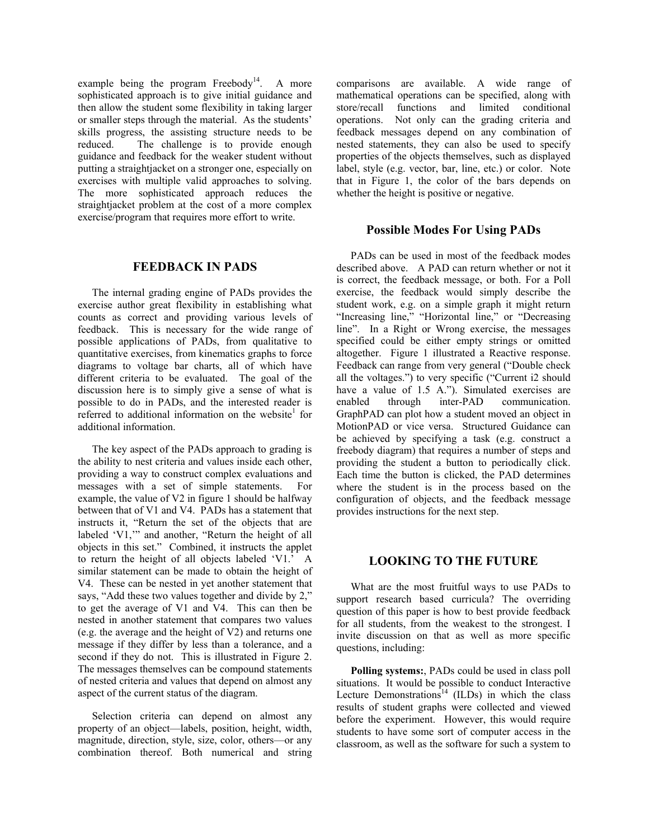example being the program Freebody<sup>14</sup>. A more sophisticated approach is to give initial guidance and then allow the student some flexibility in taking larger or smaller steps through the material. As the students' skills progress, the assisting structure needs to be reduced. The challenge is to provide enough guidance and feedback for the weaker student without putting a straightjacket on a stronger one, especially on exercises with multiple valid approaches to solving. The more sophisticated approach reduces the straightjacket problem at the cost of a more complex exercise/program that requires more effort to write.

# **FEEDBACK IN PADS**

The internal grading engine of PADs provides the exercise author great flexibility in establishing what counts as correct and providing various levels of feedback. This is necessary for the wide range of possible applications of PADs, from qualitative to quantitative exercises, from kinematics graphs to force diagrams to voltage bar charts, all of which have different criteria to be evaluated. The goal of the discussion here is to simply give a sense of what is possible to do in PADs, and the interested reader is referred to additional information on the website<sup>1</sup> for additional information.

The key aspect of the PADs approach to grading is the ability to nest criteria and values inside each other, providing a way to construct complex evaluations and messages with a set of simple statements. For example, the value of V2 in figure 1 should be halfway between that of V1 and V4. PADs has a statement that instructs it, "Return the set of the objects that are labeled 'V1,'" and another, "Return the height of all objects in this set." Combined, it instructs the applet to return the height of all objects labeled 'V1.' A similar statement can be made to obtain the height of V4. These can be nested in yet another statement that says, "Add these two values together and divide by 2," to get the average of V1 and V4. This can then be nested in another statement that compares two values (e.g. the average and the height of V2) and returns one message if they differ by less than a tolerance, and a second if they do not. This is illustrated in Figure 2. The messages themselves can be compound statements of nested criteria and values that depend on almost any aspect of the current status of the diagram.

Selection criteria can depend on almost any property of an object—labels, position, height, width, magnitude, direction, style, size, color, others—or any combination thereof. Both numerical and string comparisons are available. A wide range of mathematical operations can be specified, along with store/recall functions and limited conditional operations. Not only can the grading criteria and feedback messages depend on any combination of nested statements, they can also be used to specify properties of the objects themselves, such as displayed label, style (e.g. vector, bar, line, etc.) or color. Note that in Figure 1, the color of the bars depends on whether the height is positive or negative.

# **Possible Modes For Using PADs**

PADs can be used in most of the feedback modes described above. A PAD can return whether or not it is correct, the feedback message, or both. For a Poll exercise, the feedback would simply describe the student work, e.g. on a simple graph it might return "Increasing line," "Horizontal line," or "Decreasing line". In a Right or Wrong exercise, the messages specified could be either empty strings or omitted altogether. Figure 1 illustrated a Reactive response. Feedback can range from very general ("Double check all the voltages.") to very specific ("Current i2 should have a value of 1.5 A."). Simulated exercises are enabled through inter-PAD communication. GraphPAD can plot how a student moved an object in MotionPAD or vice versa. Structured Guidance can be achieved by specifying a task (e.g. construct a freebody diagram) that requires a number of steps and providing the student a button to periodically click. Each time the button is clicked, the PAD determines where the student is in the process based on the configuration of objects, and the feedback message provides instructions for the next step.

# **LOOKING TO THE FUTURE**

What are the most fruitful ways to use PADs to support research based curricula? The overriding question of this paper is how to best provide feedback for all students, from the weakest to the strongest. I invite discussion on that as well as more specific questions, including:

**Polling systems:**, PADs could be used in class poll situations. It would be possible to conduct Interactive Lecture Demonstrations<sup>14</sup> (ILDs) in which the class results of student graphs were collected and viewed before the experiment. However, this would require students to have some sort of computer access in the classroom, as well as the software for such a system to